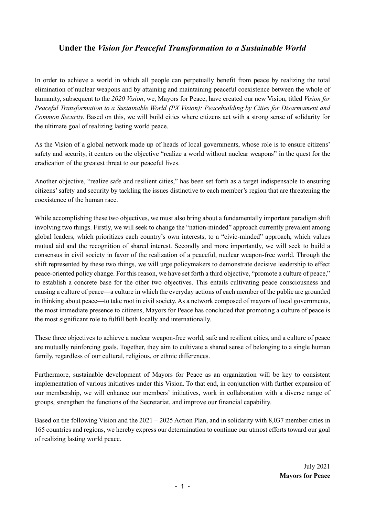# **Under the** *Vision for Peaceful Transformation to a Sustainable World*

In order to achieve a world in which all people can perpetually benefit from peace by realizing the total elimination of nuclear weapons and by attaining and maintaining peaceful coexistence between the whole of humanity, subsequent to the *2020 Vision*, we, Mayors for Peace, have created our new Vision, titled *Vision for Peaceful Transformation to a Sustainable World (PX Vision): Peacebuilding by Cities for Disarmament and Common Security.* Based on this, we will build cities where citizens act with a strong sense of solidarity for the ultimate goal of realizing lasting world peace.

As the Vision of a global network made up of heads of local governments, whose role is to ensure citizens' safety and security, it centers on the objective "realize a world without nuclear weapons" in the quest for the eradication of the greatest threat to our peaceful lives.

Another objective, "realize safe and resilient cities," has been set forth as a target indispensable to ensuring citizens' safety and security by tackling the issues distinctive to each member's region that are threatening the coexistence of the human race.

While accomplishing these two objectives, we must also bring about a fundamentally important paradigm shift involving two things. Firstly, we will seek to change the "nation-minded" approach currently prevalent among global leaders, which prioritizes each country's own interests, to a "civic-minded" approach, which values mutual aid and the recognition of shared interest. Secondly and more importantly, we will seek to build a consensus in civil society in favor of the realization of a peaceful, nuclear weapon-free world. Through the shift represented by these two things, we will urge policymakers to demonstrate decisive leadership to effect peace-oriented policy change. For this reason, we have set forth a third objective, "promote a culture of peace," to establish a concrete base for the other two objectives. This entails cultivating peace consciousness and causing a culture of peace—a culture in which the everyday actions of each member of the public are grounded in thinking about peace—to take root in civil society. As a network composed of mayors of local governments, the most immediate presence to citizens, Mayors for Peace has concluded that promoting a culture of peace is the most significant role to fulfill both locally and internationally.

These three objectives to achieve a nuclear weapon-free world, safe and resilient cities, and a culture of peace are mutually reinforcing goals. Together, they aim to cultivate a shared sense of belonging to a single human family, regardless of our cultural, religious, or ethnic differences.

Furthermore, sustainable development of Mayors for Peace as an organization will be key to consistent implementation of various initiatives under this Vision. To that end, in conjunction with further expansion of our membership, we will enhance our members' initiatives, work in collaboration with a diverse range of groups, strengthen the functions of the Secretariat, and improve our financial capability.

Based on the following Vision and the  $2021 - 2025$  Action Plan, and in solidarity with 8,037 member cities in 165 countries and regions, we hereby express our determination to continue our utmost efforts toward our goal of realizing lasting world peace.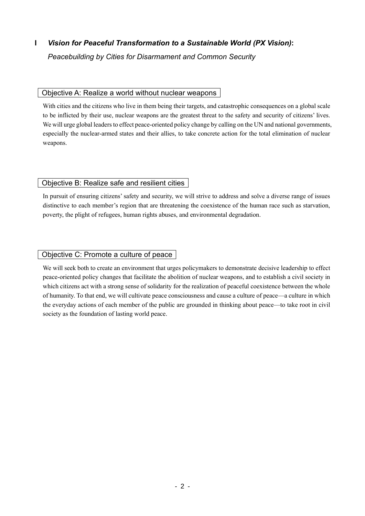# **I** *Vision for Peaceful Transformation to a Sustainable World (PX Vision)***:**

*Peacebuilding by Cities for Disarmament and Common Security*

# Objective A: Realize a world without nuclear weapons

With cities and the citizens who live in them being their targets, and catastrophic consequences on a global scale to be inflicted by their use, nuclear weapons are the greatest threat to the safety and security of citizens' lives. We will urge global leaders to effect peace-oriented policy change by calling on the UN and national governments, especially the nuclear-armed states and their allies, to take concrete action for the total elimination of nuclear weapons.

# Objective B: Realize safe and resilient cities

In pursuit of ensuring citizens' safety and security, we will strive to address and solve a diverse range of issues distinctive to each member's region that are threatening the coexistence of the human race such as starvation, poverty, the plight of refugees, human rights abuses, and environmental degradation.

# Objective C: Promote a culture of peace

We will seek both to create an environment that urges policymakers to demonstrate decisive leadership to effect peace-oriented policy changes that facilitate the abolition of nuclear weapons, and to establish a civil society in which citizens act with a strong sense of solidarity for the realization of peaceful coexistence between the whole of humanity. To that end, we will cultivate peace consciousness and cause a culture of peace—a culture in which the everyday actions of each member of the public are grounded in thinking about peace—to take root in civil society as the foundation of lasting world peace.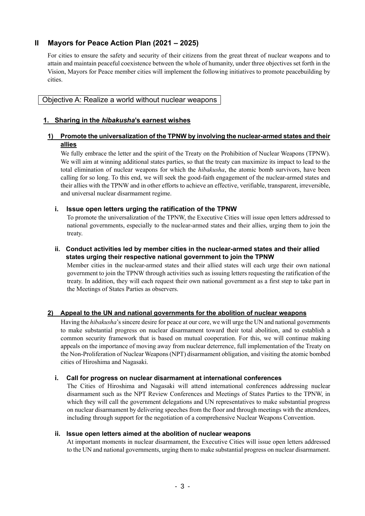# **II Mayors for Peace Action Plan (2021 – 2025)**

For cities to ensure the safety and security of their citizens from the great threat of nuclear weapons and to attain and maintain peaceful coexistence between the whole of humanity, under three objectives set forth in the Vision, Mayors for Peace member cities will implement the following initiatives to promote peacebuilding by cities.

## Objective A: Realize a world without nuclear weapons

# **1. Sharing in the** *hibakusha***'s earnest wishes**

## **1) Promote the universalization of the TPNW by involving the nuclear-armed states and their allies**

We fully embrace the letter and the spirit of the Treaty on the Prohibition of Nuclear Weapons (TPNW). We will aim at winning additional states parties, so that the treaty can maximize its impact to lead to the total elimination of nuclear weapons for which the *hibakusha*, the atomic bomb survivors, have been calling for so long. To this end, we will seek the good-faith engagement of the nuclear-armed states and their allies with the TPNW and in other efforts to achieve an effective, verifiable, transparent, irreversible, and universal nuclear disarmament regime.

## **i. Issue open letters urging the ratification of the TPNW**

To promote the universalization of the TPNW, the Executive Cities will issue open letters addressed to national governments, especially to the nuclear-armed states and their allies, urging them to join the treaty.

#### **ii. Conduct activities led by member cities in the nuclear-armed states and their allied states urging their respective national government to join the TPNW**

Member cities in the nuclear-armed states and their allied states will each urge their own national government to join the TPNW through activities such as issuing letters requesting the ratification of the treaty. In addition, they will each request their own national government as a first step to take part in the Meetings of States Parties as observers.

#### **2) Appeal to the UN and national governments for the abolition of nuclear weapons**

Having the *hibakusha*'s sincere desire for peace at our core, we will urge the UN and national governments to make substantial progress on nuclear disarmament toward their total abolition, and to establish a common security framework that is based on mutual cooperation. For this, we will continue making appeals on the importance of moving away from nuclear deterrence, full implementation of the Treaty on the Non-Proliferation of Nuclear Weapons(NPT) disarmament obligation, and visiting the atomic bombed cities of Hiroshima and Nagasaki.

#### **i. Call for progress on nuclear disarmament at international conferences**

The Cities of Hiroshima and Nagasaki will attend international conferences addressing nuclear disarmament such as the NPT Review Conferences and Meetings of States Parties to the TPNW, in which they will call the government delegations and UN representatives to make substantial progress on nuclear disarmament by delivering speeches from the floor and through meetings with the attendees, including through support for the negotiation of a comprehensive Nuclear Weapons Convention.

#### **ii. Issue open letters aimed at the abolition of nuclear weapons**

At important moments in nuclear disarmament, the Executive Cities will issue open letters addressed to the UN and national governments, urging them to make substantial progress on nuclear disarmament.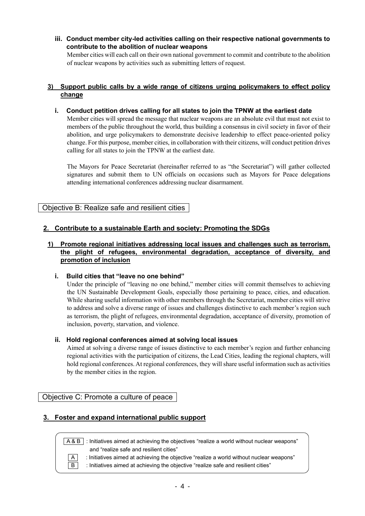**iii. Conduct member city-led activities calling on their respective national governments to contribute to the abolition of nuclear weapons**

Member cities will each call on their own national government to commit and contribute to the abolition of nuclear weapons by activities such as submitting letters of request.

### **3) Support public calls by a wide range of citizens urging policymakers to effect policy change**

**i. Conduct petition drives calling for all states to join the TPNW at the earliest date**

Member cities will spread the message that nuclear weapons are an absolute evil that must not exist to members of the public throughout the world, thus building a consensus in civil society in favor of their abolition, and urge policymakers to demonstrate decisive leadership to effect peace-oriented policy change. For this purpose, member cities, in collaboration with their citizens, will conduct petition drives calling for all states to join the TPNW at the earliest date.

The Mayors for Peace Secretariat (hereinafter referred to as "the Secretariat") will gather collected signatures and submit them to UN officials on occasions such as Mayors for Peace delegations attending international conferences addressing nuclear disarmament.

Objective B: Realize safe and resilient cities

## **2. Contribute to a sustainable Earth and society: Promoting the SDGs**

## **1) Promote regional initiatives addressing local issues and challenges such as terrorism, the plight of refugees, environmental degradation, acceptance of diversity, and promotion of inclusion**

## **i. Build cities that "leave no one behind"**

Under the principle of "leaving no one behind," member cities will commit themselves to achieving the UN Sustainable Development Goals, especially those pertaining to peace, cities, and education. While sharing useful information with other members through the Secretariat, member cities will strive to address and solve a diverse range of issues and challenges distinctive to each member's region such as terrorism, the plight of refugees, environmental degradation, acceptance of diversity, promotion of inclusion, poverty, starvation, and violence.

## **ii. Hold regional conferences aimed at solving local issues**

Aimed at solving a diverse range of issues distinctive to each member's region and further enhancing regional activities with the participation of citizens, the Lead Cities, leading the regional chapters, will hold regional conferences. At regional conferences, they will share useful information such as activities by the member cities in the region.

Objective C: Promote a culture of peace

# **3. Foster and expand international public support**

 $\sqrt{A\&B}$  : Initiatives aimed at achieving the objectives "realize a world without nuclear weapons" and "realize safe and resilient cities"

 $\boxed{A}$  : Initiatives aimed at achieving the objective "realize a world without nuclear weapons"  $\boxed{B}$  : Initiatives aimed at achieving the objective "realize safe and resilient cities"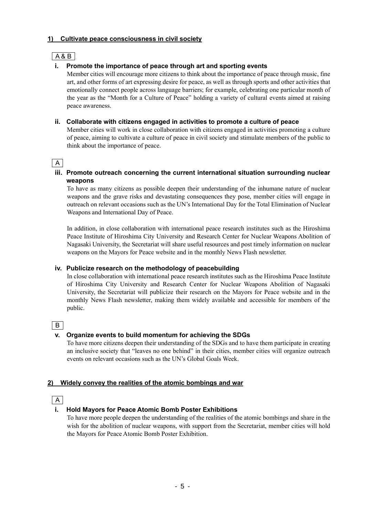### **1) Cultivate peace consciousness in civil society**

|--|

## **i. Promote the importance of peace through art and sporting events**

Member cities will encourage more citizens to think about the importance of peace through music, fine art, and other forms of art expressing desire for peace, as well as through sports and other activities that emotionally connect people across language barriers; for example, celebrating one particular month of the year as the "Month for a Culture of Peace" holding a variety of cultural events aimed at raising peace awareness.

### **ii. Collaborate with citizens engaged in activities to promote a culture of peace**

Member cities will work in close collaboration with citizens engaged in activities promoting a culture of peace, aiming to cultivate a culture of peace in civil society and stimulate members of the public to think about the importance of peace.

# A

### **iii. Promote outreach concerning the current international situation surrounding nuclear weapons**

To have as many citizens as possible deepen their understanding of the inhumane nature of nuclear weapons and the grave risks and devastating consequences they pose, member cities will engage in outreach on relevant occasions such as the UN's International Day for the Total Elimination of Nuclear Weapons and International Day of Peace.

In addition, in close collaboration with international peace research institutes such as the Hiroshima Peace Institute of Hiroshima City University and Research Center for Nuclear Weapons Abolition of Nagasaki University, the Secretariat will share useful resources and post timely information on nuclear weapons on the Mayors for Peace website and in the monthly News Flash newsletter.

## **iv. Publicize research on the methodology of peacebuilding**

In close collaboration with international peace research institutes such as the Hiroshima Peace Institute of Hiroshima City University and Research Center for Nuclear Weapons Abolition of Nagasaki University, the Secretariat will publicize their research on the Mayors for Peace website and in the monthly News Flash newsletter, making them widely available and accessible for members of the public.

## $\overline{B}$

## **v. Organize events to build momentum for achieving the SDGs**

To have more citizens deepen their understanding of the SDGs and to have them participate in creating an inclusive society that "leaves no one behind" in their cities, member cities will organize outreach events on relevant occasions such as the UN's Global Goals Week.

## **2) Widely convey the realities of the atomic bombings and war**

A

## **i. Hold Mayors for Peace Atomic Bomb Poster Exhibitions**

To have more people deepen the understanding of the realities of the atomic bombings and share in the wish for the abolition of nuclear weapons, with support from the Secretariat, member cities will hold the Mayors for Peace Atomic Bomb Poster Exhibition.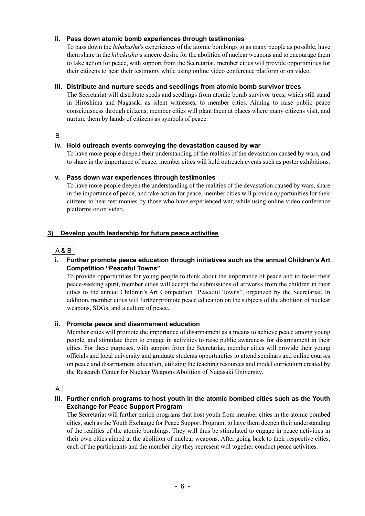### **ii. Pass down atomic bomb experiences through testimonies**

To pass down the *hibakusha*'s experiences of the atomic bombings to as many people as possible, have them share in the *hibakusha*'s sincere desire for the abolition of nuclear weapons and to encourage them to take action for peace, with support from the Secretariat, member cities will provide opportunities for their citizens to hear their testimony while using online video conference platform or on video.

### **iii. Distribute and nurture seeds and seedlings from atomic bomb survivor trees**

The Secretariat will distribute seeds and seedlings from atomic bomb survivor trees, which still stand in Hiroshima and Nagasaki as silent witnesses, to member cities. Aiming to raise public peace consciousness through citizens, member cities will plant them at places where many citizens visit, and nurture them by hands of citizens as symbols of peace.

# | B |

### **iv. Hold outreach events conveying the devastation caused by war**

To have more people deepen their understanding of the realities of the devastation caused by wars, and to share in the importance of peace, member cities will hold outreach events such as poster exhibitions.

#### **v. Pass down war experiences through testimonies**

To have more people deepen the understanding of the realities of the devastation caused by wars, share in the importance of peace, and take action for peace, member cities will provide opportunities for their citizens to hear testimonies by those who have experienced war, while using online video conference platforms or on video.

## **3) Develop youth leadership for future peace activities**

A & B

## **i. Further promote peace education through initiatives such as the annual Children's Art Competition "Peaceful Towns"**

To provide opportunities for young people to think about the importance of peace and to foster their peace-seeking spirit, member cities will accept the submissions of artworks from the children in their cities to the annual Children's Art Competition "Peaceful Towns", organized by the Secretariat. In addition, member cities will further promote peace education on the subjects of the abolition of nuclear weapons, SDGs, and a culture of peace.

#### **ii. Promote peace and disarmament education**

Member cities will promote the importance of disarmament as a means to achieve peace among young people, and stimulate them to engage in activities to raise public awareness for disarmament in their cities. For these purposes, with support from the Secretariat, member cities will provide their young officials and local university and graduate students opportunities to attend seminars and online courses on peace and disarmament education, utilizing the teaching resources and model curriculum created by the Research Center for Nuclear Weapons Abolition of Nagasaki University.

 $\overline{A}$ 

### **iii. Further enrich programs to host youth in the atomic bombed cities such as the Youth Exchange for Peace Support Program**

The Secretariat will further enrich programs that host youth from member cities in the atomic bombed cities, such as the Youth Exchange for Peace Support Program, to have them deepen their understanding of the realities of the atomic bombings. They will thus be stimulated to engage in peace activities in their own cities aimed at the abolition of nuclear weapons. After going back to their respective cities, each of the participants and the member city they represent will together conduct peace activities.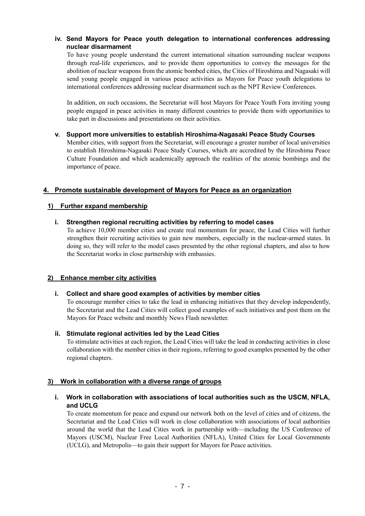## **iv. Send Mayors for Peace youth delegation to international conferences addressing nuclear disarmament**

To have young people understand the current international situation surrounding nuclear weapons through real-life experiences, and to provide them opportunities to convey the messages for the abolition of nuclear weapons from the atomic bombed cities, the Cities of Hiroshima and Nagasaki will send young people engaged in various peace activities as Mayors for Peace youth delegations to international conferences addressing nuclear disarmament such as the NPT Review Conferences.

In addition, on such occasions, the Secretariat will host Mayors for Peace Youth Fora inviting young people engaged in peace activities in many different countries to provide them with opportunities to take part in discussions and presentations on their activities.

### **v. Support more universities to establish Hiroshima-Nagasaki Peace Study Courses**

Member cities, with support from the Secretariat, will encourage a greater number of local universities to establish Hiroshima-Nagasaki Peace Study Courses, which are accredited by the Hiroshima Peace Culture Foundation and which academically approach the realities of the atomic bombings and the importance of peace.

# **4. Promote sustainable development of Mayors for Peace as an organization**

## **1) Further expand membership**

## **i. Strengthen regional recruiting activities by referring to model cases**

To achieve 10,000 member cities and create real momentum for peace, the Lead Cities will further strengthen their recruiting activities to gain new members, especially in the nuclear-armed states. In doing so, they will refer to the model cases presented by the other regional chapters, and also to how the Secretariat works in close partnership with embassies.

## **2) Enhance member city activities**

## **i. Collect and share good examples of activities by member cities**

To encourage member cities to take the lead in enhancing initiatives that they develop independently, the Secretariat and the Lead Cities will collect good examples of such initiatives and post them on the Mayors for Peace website and monthly News Flash newsletter.

#### **ii. Stimulate regional activities led by the Lead Cities**

To stimulate activities at each region, the Lead Cities will take the lead in conducting activities in close collaboration with the member cities in their regions, referring to good examples presented by the other regional chapters.

## **3) Work in collaboration with a diverse range of groups**

### **i. Work in collaboration with associations of local authorities such as the USCM, NFLA, and UCLG**

To create momentum for peace and expand our network both on the level of cities and of citizens, the Secretariat and the Lead Cities will work in close collaboration with associations of local authorities around the world that the Lead Cities work in partnership with—including the US Conference of Mayors (USCM), Nuclear Free Local Authorities (NFLA), United Cities for Local Governments (UCLG), and Metropolis—to gain their support for Mayors for Peace activities.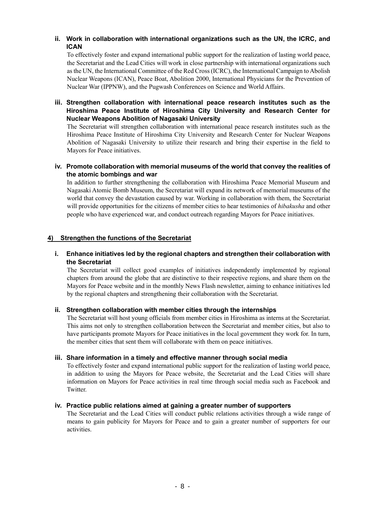# **ii. Work in collaboration with international organizations such as the UN, the ICRC, and ICAN**

To effectively foster and expand international public support for the realization of lasting world peace, the Secretariat and the Lead Cities will work in close partnership with international organizations such as the UN, the International Committee of the Red Cross (ICRC), the International Campaign to Abolish Nuclear Weapons (ICAN), Peace Boat, Abolition 2000, International Physicians for the Prevention of Nuclear War (IPPNW), and the Pugwash Conferences on Science and World Affairs.

# **iii. Strengthen collaboration with international peace research institutes such as the Hiroshima Peace Institute of Hiroshima City University and Research Center for Nuclear Weapons Abolition of Nagasaki University**

The Secretariat will strengthen collaboration with international peace research institutes such as the Hiroshima Peace Institute of Hiroshima City University and Research Center for Nuclear Weapons Abolition of Nagasaki University to utilize their research and bring their expertise in the field to Mayors for Peace initiatives.

### **iv. Promote collaboration with memorial museums of the world that convey the realities of the atomic bombings and war**

In addition to further strengthening the collaboration with Hiroshima Peace Memorial Museum and Nagasaki Atomic Bomb Museum, the Secretariat will expand its network of memorial museums of the world that convey the devastation caused by war. Working in collaboration with them, the Secretariat will provide opportunities for the citizens of member cities to hear testimonies of *hibakusha* and other people who have experienced war, and conduct outreach regarding Mayors for Peace initiatives.

## **4) Strengthen the functions of the Secretariat**

### **i. Enhance initiatives led by the regional chapters and strengthen their collaboration with the Secretariat**

The Secretariat will collect good examples of initiatives independently implemented by regional chapters from around the globe that are distinctive to their respective regions, and share them on the Mayors for Peace website and in the monthly News Flash newsletter, aiming to enhance initiatives led by the regional chapters and strengthening their collaboration with the Secretariat.

## **ii. Strengthen collaboration with member cities through the internships**

The Secretariat will host young officials from member cities in Hiroshima as interns at the Secretariat. This aims not only to strengthen collaboration between the Secretariat and member cities, but also to have participants promote Mayors for Peace initiatives in the local government they work for. In turn, the member cities that sent them will collaborate with them on peace initiatives.

#### **iii. Share information in a timely and effective manner through social media**

To effectively foster and expand international public support for the realization of lasting world peace, in addition to using the Mayors for Peace website, the Secretariat and the Lead Cities will share information on Mayors for Peace activities in real time through social media such as Facebook and Twitter.

## **iv. Practice public relations aimed at gaining a greater number of supporters**

The Secretariat and the Lead Cities will conduct public relations activities through a wide range of means to gain publicity for Mayors for Peace and to gain a greater number of supporters for our activities.